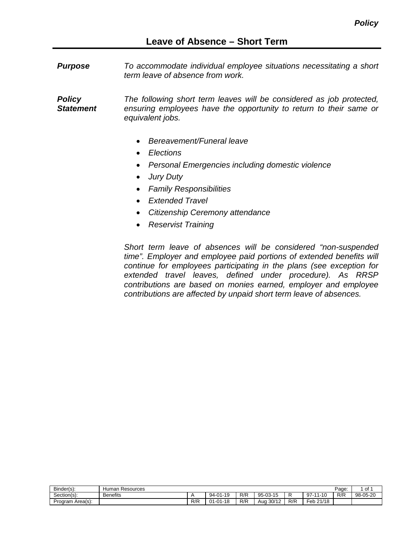*Purpose To accommodate individual employee situations necessitating a short term leave of absence from work.*

*Policy Statement The following short term leaves will be considered as job protected, ensuring employees have the opportunity to return to their same or equivalent jobs.*

- *Bereavement/Funeral leave*
- *Elections*
- *Personal Emergencies including domestic violence*
- *Jury Duty*
- *Family Responsibilities*
- *Extended Travel*
- *Citizenship Ceremony attendance*
- *Reservist Training*

*Short term leave of absences will be considered "non-suspended time". Employer and employee paid portions of extended benefits will continue for employees participating in the plans (see exception for extended travel leaves, defined under procedure). As RRSP contributions are based on monies earned, employer and employee contributions are affected by unpaid short term leave of absences.*

| Binder(s):       | Human<br>n Resources |     |                                                              |     |                         |     |                                              |     | ∼<br>יש  |
|------------------|----------------------|-----|--------------------------------------------------------------|-----|-------------------------|-----|----------------------------------------------|-----|----------|
| Section(s):      | <b>Benefits</b>      |     | $\overline{A}$<br>$94 -$<br>$\bigcap$<br>- ע<br>$\cdot$      | R/R | $95-0.3$<br>4E<br>ש ו-ר |     | $97 -$<br>$\overline{A}$ $\overline{C}$<br>. | R/R | 98-05-20 |
| Program Area(s): |                      | R/R | 40<br>$^{\circ}$<br>$^{\circ}$<br>∵י⊢ا ∪<br>$-17$<br>$\cdot$ | R/R | 30/12<br>Aua<br>╶╹      | R/R | $\overline{\phantom{a}}$ eb.<br>21/18        |     |          |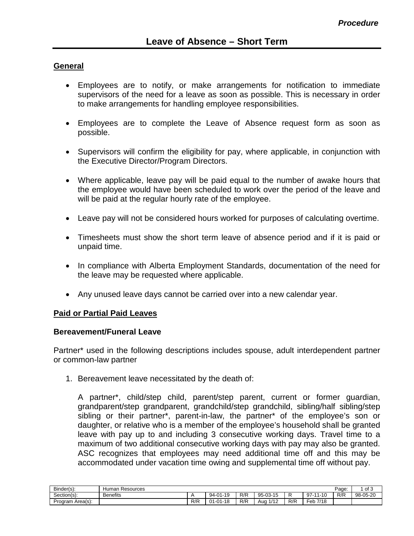# **General**

- Employees are to notify, or make arrangements for notification to immediate supervisors of the need for a leave as soon as possible. This is necessary in order to make arrangements for handling employee responsibilities.
- Employees are to complete the Leave of Absence request form as soon as possible.
- Supervisors will confirm the eligibility for pay, where applicable, in conjunction with the Executive Director/Program Directors.
- Where applicable, leave pay will be paid equal to the number of awake hours that the employee would have been scheduled to work over the period of the leave and will be paid at the regular hourly rate of the employee.
- Leave pay will not be considered hours worked for purposes of calculating overtime.
- Timesheets must show the short term leave of absence period and if it is paid or unpaid time.
- In compliance with Alberta Employment Standards, documentation of the need for the leave may be requested where applicable.
- Any unused leave days cannot be carried over into a new calendar year.

#### **Paid or Partial Paid Leaves**

#### **Bereavement/Funeral Leave**

Partner\* used in the following descriptions includes spouse, adult interdependent partner or common-law partner

1. Bereavement leave necessitated by the death of:

A partner\*, child/step child, parent/step parent, current or former guardian, grandparent/step grandparent, grandchild/step grandchild, sibling/half sibling/step sibling or their partner\*, parent-in-law, the partner\* of the employee's son or daughter, or relative who is a member of the employee's household shall be granted leave with pay up to and including 3 consecutive working days. Travel time to a maximum of two additional consecutive working days with pay may also be granted. ASC recognizes that employees may need additional time off and this may be accommodated under vacation time owing and supplemental time off without pay.

| Binder(s):       | Resources<br>ıman<br>1u |     |                                            |     |                                         |     |                                   |                       | of ?<br>וש<br> |
|------------------|-------------------------|-----|--------------------------------------------|-----|-----------------------------------------|-----|-----------------------------------|-----------------------|----------------|
| Section(s):      | <b>Benefits</b>         |     | . - 10<br>94-<br>$\mathsf{A}$<br>- 15<br>ີ | R/R | 95-1<br>$02 - 15$<br>- 10<br>. טי<br>ັບ |     | $97 -$<br>$\overline{A}$<br>.     | D/D<br>ᄿ <del>൛</del> | 98-05-20       |
| Program Area(s): |                         | R/R | $-01 - 18$<br>01                           | R/R | /12<br>Aua                              | R/R | $\mathsf{E}_{\mathsf{e}}$<br>7/18 |                       |                |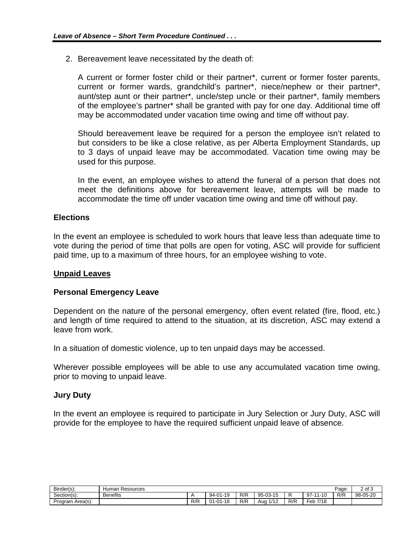2. Bereavement leave necessitated by the death of:

A current or former foster child or their partner\*, current or former foster parents, current or former wards, grandchild's partner\*, niece/nephew or their partner\*, aunt/step aunt or their partner\*, uncle/step uncle or their partner\*, family members of the employee's partner\* shall be granted with pay for one day. Additional time off may be accommodated under vacation time owing and time off without pay.

Should bereavement leave be required for a person the employee isn't related to but considers to be like a close relative, as per Alberta Employment Standards, up to 3 days of unpaid leave may be accommodated. Vacation time owing may be used for this purpose.

In the event, an employee wishes to attend the funeral of a person that does not meet the definitions above for bereavement leave, attempts will be made to accommodate the time off under vacation time owing and time off without pay.

## **Elections**

In the event an employee is scheduled to work hours that leave less than adequate time to vote during the period of time that polls are open for voting, ASC will provide for sufficient paid time, up to a maximum of three hours, for an employee wishing to vote.

#### **Unpaid Leaves**

#### **Personal Emergency Leave**

Dependent on the nature of the personal emergency, often event related (fire, flood, etc.) and length of time required to attend to the situation, at its discretion, ASC may extend a leave from work.

In a situation of domestic violence, up to ten unpaid days may be accessed.

Wherever possible employees will be able to use any accumulated vacation time owing, prior to moving to unpaid leave.

#### **Jury Duty**

In the event an employee is required to participate in Jury Selection or Jury Duty, ASC will provide for the employee to have the required sufficient unpaid leave of absence.

| Binder(s):       | -<br>Page<br>Human Resources |     |                                               |     |             |     |                            |     | 2 of 3   |
|------------------|------------------------------|-----|-----------------------------------------------|-----|-------------|-----|----------------------------|-----|----------|
| Section(s):      | <b>Benefits</b>              |     | $^{\circ}$<br>$94 -$<br>$\Delta$ $\cap$<br>19 | R/R | 95-03-15    | יי  | 97.<br>$\overline{A}$<br>. | R/R | 98-05-20 |
| Program Area(s): |                              | R/R | $01 - 01 - 18$                                | R/R | 1/12<br>Aua | R/R | Feb<br>7/18                |     |          |